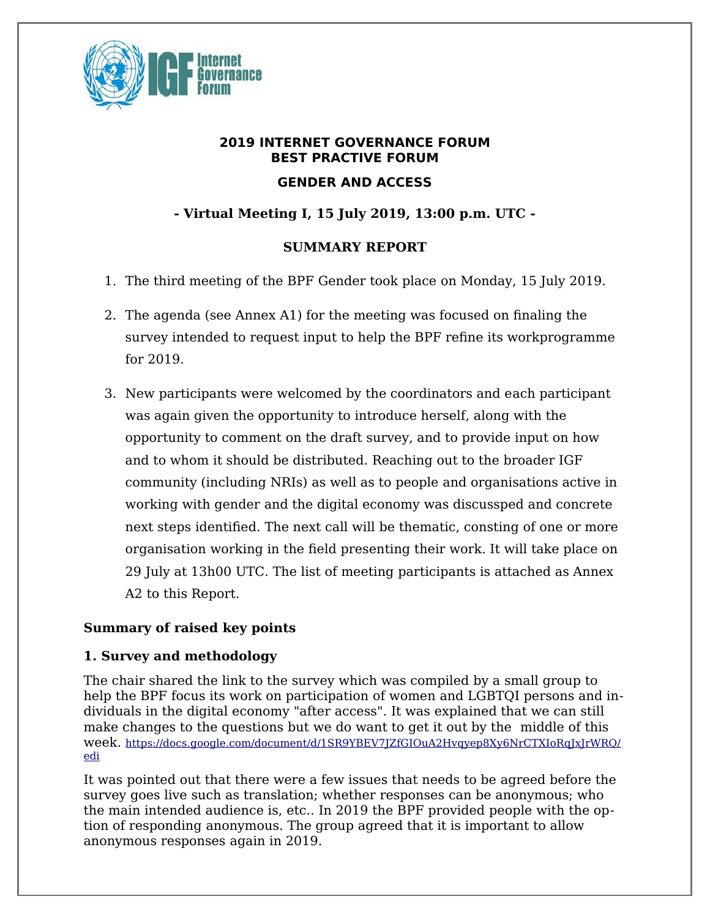

# **2019 INTERNET GOVERNANCE FORUM BEST PRACTIVE FORUM GENDER AND ACCESS**

# **- Virtual Meeting I, 15 July 2019, 13:00 p.m. UTC -**

# **SUMMARY REPORT**

- 1. The third meeting of the BPF Gender took place on Monday, 15 July 2019.
- 2. The agenda (see Annex A1) for the meeting was focused on finaling the survey intended to request input to help the BPF refine its workprogramme for 2019.
- 3. New participants were welcomed by the coordinators and each participant was again given the opportunity to introduce herself, along with the opportunity to comment on the draft survey, and to provide input on how and to whom it should be distributed. Reaching out to the broader IGF community (including NRIs) as well as to people and organisations active in working with gender and the digital economy was discussped and concrete next steps identified. The next call will be thematic, consting of one or more organisation working in the field presenting their work. It will take place on 29 July at 13h00 UTC. The list of meeting participants is attached as Annex A2 to this Report.

## **Summary of raised key points**

## **1. Survey and methodology**

The chair shared the link to the survey which was compiled by a small group to help the BPF focus its work on participation of women and LGBTQI persons and individuals in the digital economy "after access". It was explained that we can still make changes to the questions but we do want to get it out by the middle of this week. [https://docs.google.com/document/d/1SR9YBEV7JZfGIOuA2Hvqyep8Xy6NrCTXIoRqJxJrWRQ/](https://docs.google.com/document/d/1SR9YBEV7JZfGIOuA2Hvqyep8Xy6NrCTXIoRqJxJrWRQ/edi) [edi](https://docs.google.com/document/d/1SR9YBEV7JZfGIOuA2Hvqyep8Xy6NrCTXIoRqJxJrWRQ/edi)

It was pointed out that there were a few issues that needs to be agreed before the survey goes live such as translation; whether responses can be anonymous; who the main intended audience is, etc.. In 2019 the BPF provided people with the option of responding anonymous. The group agreed that it is important to allow anonymous responses again in 2019.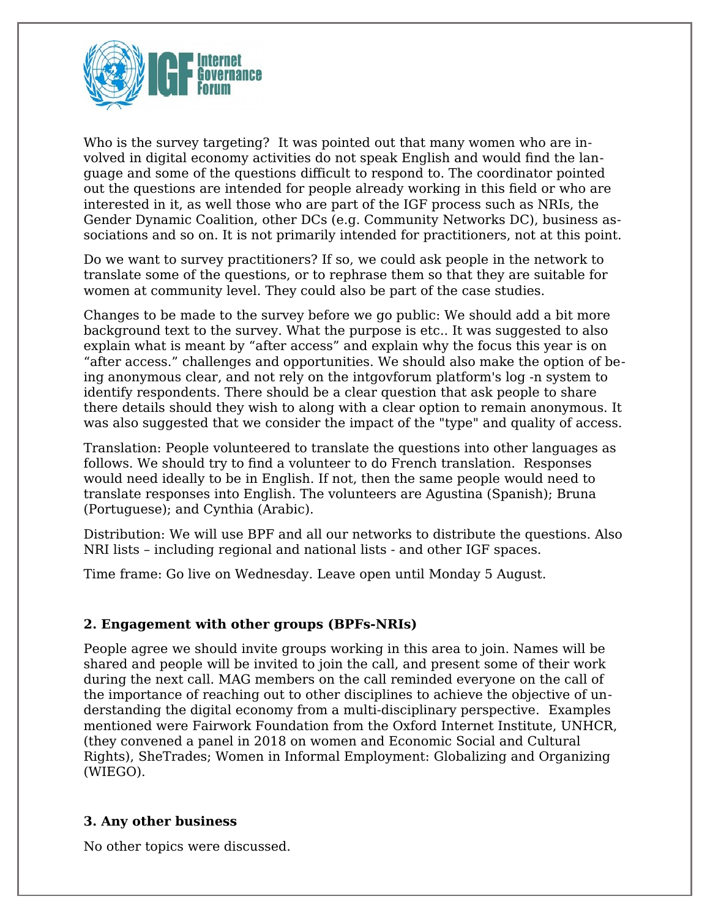

Who is the survey targeting? It was pointed out that many women who are involved in digital economy activities do not speak English and would find the language and some of the questions difficult to respond to. The coordinator pointed out the questions are intended for people already working in this field or who are interested in it, as well those who are part of the IGF process such as NRIs, the Gender Dynamic Coalition, other DCs (e.g. Community Networks DC), business associations and so on. It is not primarily intended for practitioners, not at this point.

Do we want to survey practitioners? If so, we could ask people in the network to translate some of the questions, or to rephrase them so that they are suitable for women at community level. They could also be part of the case studies.

Changes to be made to the survey before we go public: We should add a bit more background text to the survey. What the purpose is etc.. It was suggested to also explain what is meant by "after access" and explain why the focus this year is on "after access." challenges and opportunities. We should also make the option of being anonymous clear, and not rely on the intgovforum platform's log -n system to identify respondents. There should be a clear question that ask people to share there details should they wish to along with a clear option to remain anonymous. It was also suggested that we consider the impact of the "type" and quality of access.

Translation: People volunteered to translate the questions into other languages as follows. We should try to find a volunteer to do French translation. Responses would need ideally to be in English. If not, then the same people would need to translate responses into English. The volunteers are Agustina (Spanish); Bruna (Portuguese); and Cynthia (Arabic).

Distribution: We will use BPF and all our networks to distribute the questions. Also NRI lists – including regional and national lists - and other IGF spaces.

Time frame: Go live on Wednesday. Leave open until Monday 5 August.

#### **2. Engagement with other groups (BPFs-NRIs)**

People agree we should invite groups working in this area to join. Names will be shared and people will be invited to join the call, and present some of their work during the next call. MAG members on the call reminded everyone on the call of the importance of reaching out to other disciplines to achieve the objective of understanding the digital economy from a multi-disciplinary perspective. Examples mentioned were Fairwork Foundation from the Oxford Internet Institute, UNHCR, (they convened a panel in 2018 on women and Economic Social and Cultural Rights), SheTrades; Women in Informal Employment: Globalizing and Organizing (WIEGO).

#### **3. Any other business**

No other topics were discussed.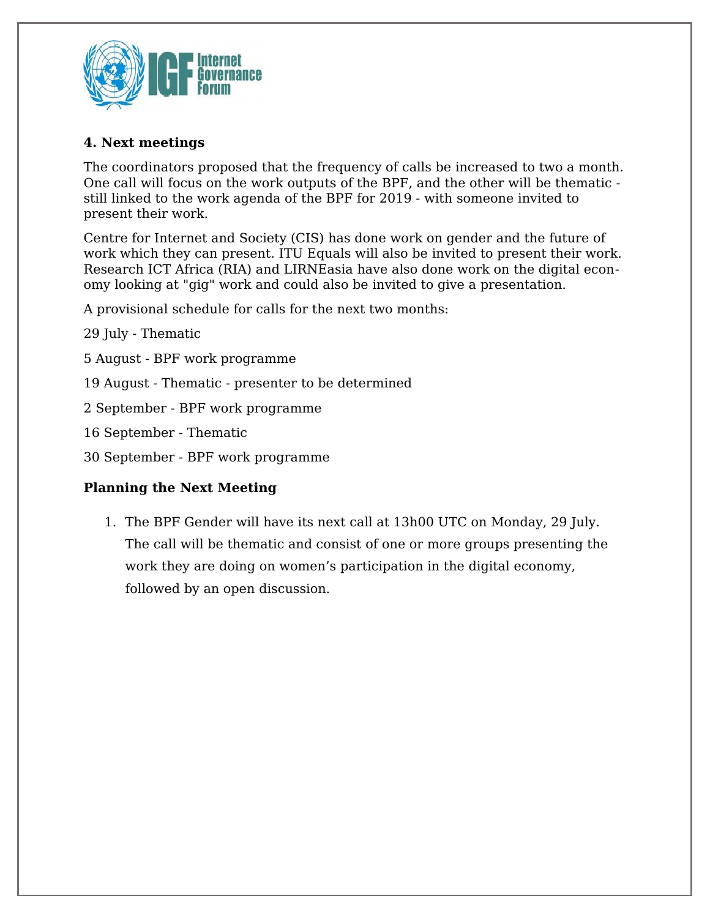

## **4. Next meetings**

The coordinators proposed that the frequency of calls be increased to two a month. One call will focus on the work outputs of the BPF, and the other will be thematic still linked to the work agenda of the BPF for 2019 - with someone invited to present their work.

Centre for Internet and Society (CIS) has done work on gender and the future of work which they can present. ITU Equals will also be invited to present their work. Research ICT Africa (RIA) and LIRNEasia have also done work on the digital economy looking at "gig" work and could also be invited to give a presentation.

A provisional schedule for calls for the next two months:

29 July - Thematic

- 5 August BPF work programme
- 19 August Thematic presenter to be determined
- 2 September BPF work programme

16 September - Thematic

30 September - BPF work programme

#### **Planning the Next Meeting**

1. The BPF Gender will have its next call at 13h00 UTC on Monday, 29 July. The call will be thematic and consist of one or more groups presenting the work they are doing on women's participation in the digital economy, followed by an open discussion.